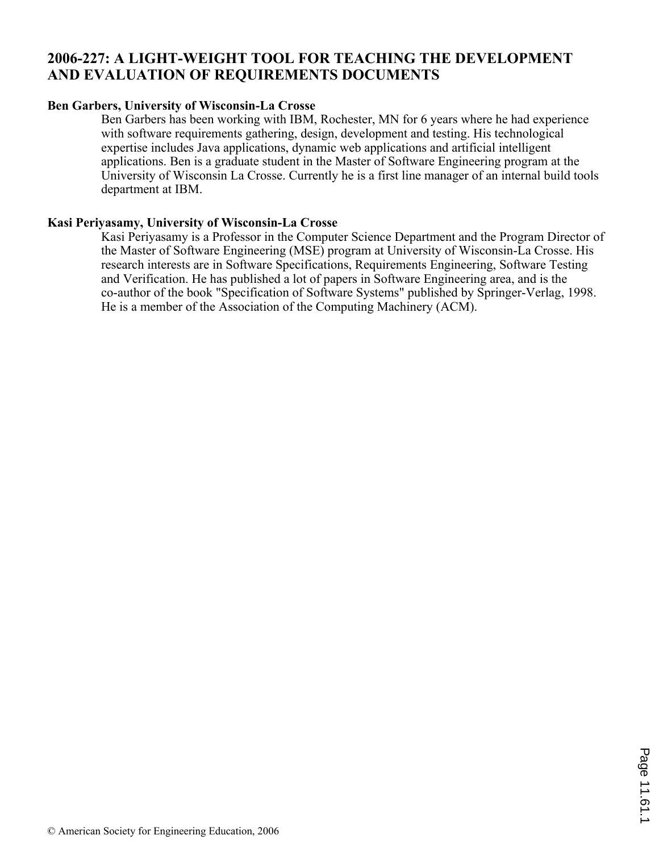## **2006-227: A LIGHT-WEIGHT TOOL FOR TEACHING THE DEVELOPMENT AND EVALUATION OF REQUIREMENTS DOCUMENTS**

#### **Ben Garbers, University of Wisconsin-La Crosse**

Ben Garbers has been working with IBM, Rochester, MN for 6 years where he had experience with software requirements gathering, design, development and testing. His technological expertise includes Java applications, dynamic web applications and artificial intelligent applications. Ben is a graduate student in the Master of Software Engineering program at the University of Wisconsin La Crosse. Currently he is a first line manager of an internal build tools department at IBM.

#### **Kasi Periyasamy, University of Wisconsin-La Crosse**

Kasi Periyasamy is a Professor in the Computer Science Department and the Program Director of the Master of Software Engineering (MSE) program at University of Wisconsin-La Crosse. His research interests are in Software Specifications, Requirements Engineering, Software Testing and Verification. He has published a lot of papers in Software Engineering area, and is the co-author of the book "Specification of Software Systems" published by Springer-Verlag, 1998. He is a member of the Association of the Computing Machinery (ACM).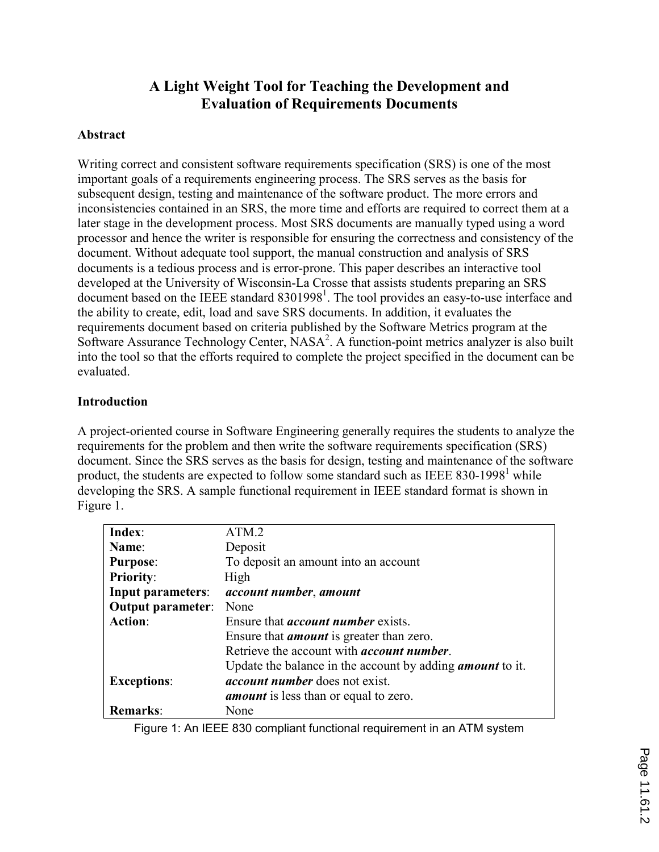# A Light Weight Tool for Teaching the Development and Evaluation of Requirements Documents

#### Abstract

Writing correct and consistent software requirements specification (SRS) is one of the most important goals of a requirements engineering process. The SRS serves as the basis for subsequent design, testing and maintenance of the software product. The more errors and inconsistencies contained in an SRS, the more time and efforts are required to correct them at a later stage in the development process. Most SRS documents are manually typed using a word processor and hence the writer is responsible for ensuring the correctness and consistency of the document. Without adequate tool support, the manual construction and analysis of SRS documents is a tedious process and is error-prone. This paper describes an interactive tool developed at the University of Wisconsin-La Crosse that assists students preparing an SRS document based on the IEEE standard  $8301998<sup>1</sup>$ . The tool provides an easy-to-use interface and the ability to create, edit, load and save SRS documents. In addition, it evaluates the requirements document based on criteria published by the Software Metrics program at the Software Assurance Technology Center, NASA<sup>2</sup>. A function-point metrics analyzer is also built into the tool so that the efforts required to complete the project specified in the document can be evaluated.

#### Introduction

A project-oriented course in Software Engineering generally requires the students to analyze the requirements for the problem and then write the software requirements specification (SRS) document. Since the SRS serves as the basis for design, testing and maintenance of the software product, the students are expected to follow some standard such as IEEE 830-1998<sup>1</sup> while developing the SRS. A sample functional requirement in IEEE standard format is shown in Figure 1.

| Index:                   | ATM.2                                                            |
|--------------------------|------------------------------------------------------------------|
| Name:                    | Deposit                                                          |
| <b>Purpose:</b>          | To deposit an amount into an account                             |
| <b>Priority:</b>         | High                                                             |
| <b>Input parameters:</b> | <i>account number, amount</i>                                    |
| <b>Output parameter:</b> | None                                                             |
| <b>Action:</b>           | Ensure that <i>account number</i> exists.                        |
|                          | Ensure that <i>amount</i> is greater than zero.                  |
|                          | Retrieve the account with <i>account number</i> .                |
|                          | Update the balance in the account by adding <i>amount</i> to it. |
| <b>Exceptions:</b>       | <i>account number</i> does not exist.                            |
|                          | <i>amount</i> is less than or equal to zero.                     |
| <b>Remarks:</b>          | None                                                             |
|                          |                                                                  |

Figure 1: An IEEE 830 compliant functional requirement in an ATM system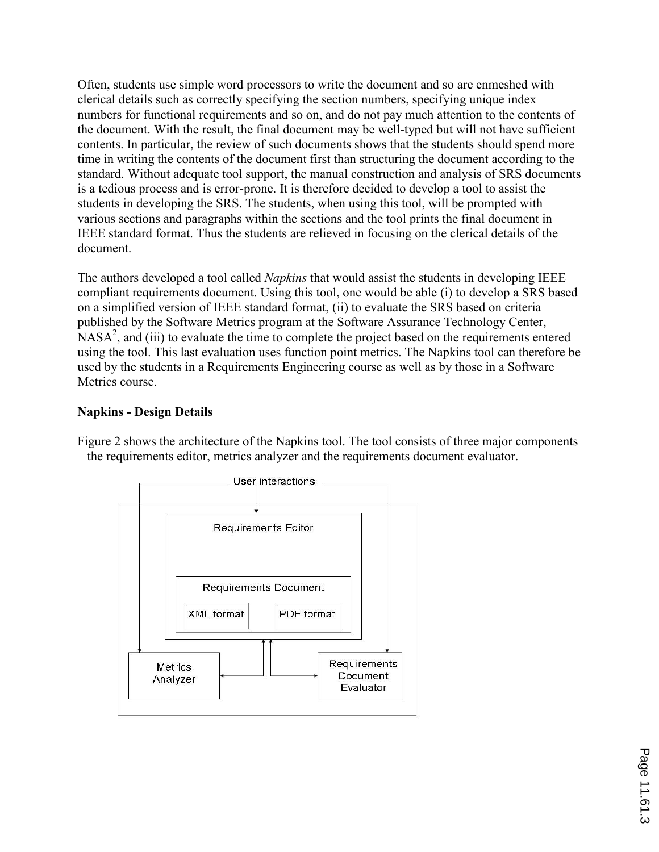Often, students use simple word processors to write the document and so are enmeshed with clerical details such as correctly specifying the section numbers, specifying unique index numbers for functional requirements and so on, and do not pay much attention to the contents of the document. With the result, the final document may be well-typed but will not have sufficient contents. In particular, the review of such documents shows that the students should spend more time in writing the contents of the document first than structuring the document according to the standard. Without adequate tool support, the manual construction and analysis of SRS documents is a tedious process and is error-prone. It is therefore decided to develop a tool to assist the students in developing the SRS. The students, when using this tool, will be prompted with various sections and paragraphs within the sections and the tool prints the final document in IEEE standard format. Thus the students are relieved in focusing on the clerical details of the document.

The authors developed a tool called *Napkins* that would assist the students in developing IEEE compliant requirements document. Using this tool, one would be able (i) to develop a SRS based on a simplified version of IEEE standard format, (ii) to evaluate the SRS based on criteria published by the Software Metrics program at the Software Assurance Technology Center,  $NASA<sup>2</sup>$ , and (iii) to evaluate the time to complete the project based on the requirements entered using the tool. This last evaluation uses function point metrics. The Napkins tool can therefore be used by the students in a Requirements Engineering course as well as by those in a Software Metrics course.

### Napkins - Design Details

Figure 2 shows the architecture of the Napkins tool. The tool consists of three major components – the requirements editor, metrics analyzer and the requirements document evaluator.

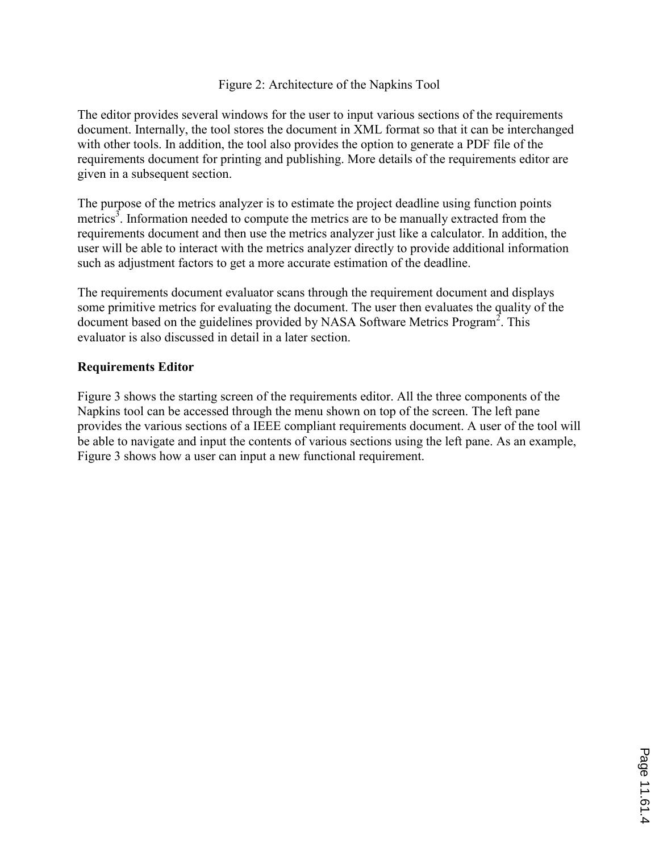#### Figure 2: Architecture of the Napkins Tool

The editor provides several windows for the user to input various sections of the requirements document. Internally, the tool stores the document in XML format so that it can be interchanged with other tools. In addition, the tool also provides the option to generate a PDF file of the requirements document for printing and publishing. More details of the requirements editor are given in a subsequent section.

The purpose of the metrics analyzer is to estimate the project deadline using function points metrics<sup>3</sup>. Information needed to compute the metrics are to be manually extracted from the requirements document and then use the metrics analyzer just like a calculator. In addition, the user will be able to interact with the metrics analyzer directly to provide additional information such as adjustment factors to get a more accurate estimation of the deadline.

The requirements document evaluator scans through the requirement document and displays some primitive metrics for evaluating the document. The user then evaluates the quality of the document based on the guidelines provided by NASA Software Metrics Program<sup>2</sup>. This evaluator is also discussed in detail in a later section.

#### Requirements Editor

Figure 3 shows the starting screen of the requirements editor. All the three components of the Napkins tool can be accessed through the menu shown on top of the screen. The left pane provides the various sections of a IEEE compliant requirements document. A user of the tool will be able to navigate and input the contents of various sections using the left pane. As an example, Figure 3 shows how a user can input a new functional requirement.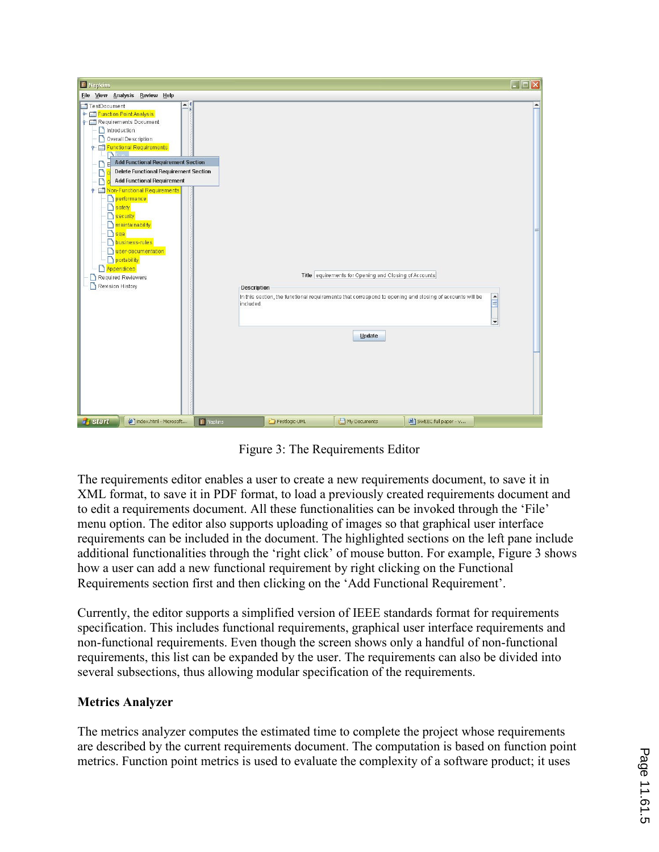

Figure 3: The Requirements Editor

The requirements editor enables a user to create a new requirements document, to save it in XML format, to save it in PDF format, to load a previously created requirements document and to edit a requirements document. All these functionalities can be invoked through the 'File' menu option. The editor also supports uploading of images so that graphical user interface requirements can be included in the document. The highlighted sections on the left pane include additional functionalities through the 'right click' of mouse button. For example, Figure 3 shows how a user can add a new functional requirement by right clicking on the Functional Requirements section first and then clicking on the 'Add Functional Requirement'.

Currently, the editor supports a simplified version of IEEE standards format for requirements specification. This includes functional requirements, graphical user interface requirements and non-functional requirements. Even though the screen shows only a handful of non-functional requirements, this list can be expanded by the user. The requirements can also be divided into several subsections, thus allowing modular specification of the requirements.

### Metrics Analyzer

The metrics analyzer computes the estimated time to complete the project whose requirements are described by the current requirements document. The computation is based on function point metrics. Function point metrics is used to evaluate the complexity of a software product; it uses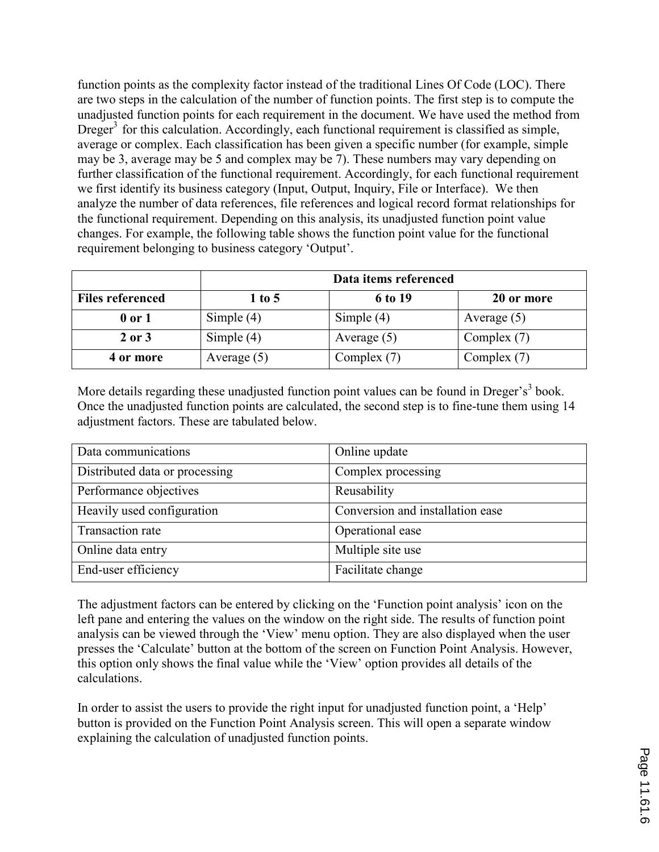function points as the complexity factor instead of the traditional Lines Of Code (LOC). There are two steps in the calculation of the number of function points. The first step is to compute the unadjusted function points for each requirement in the document. We have used the method from Dreger<sup>3</sup> for this calculation. Accordingly, each functional requirement is classified as simple, average or complex. Each classification has been given a specific number (for example, simple may be 3, average may be 5 and complex may be 7). These numbers may vary depending on further classification of the functional requirement. Accordingly, for each functional requirement we first identify its business category (Input, Output, Inquiry, File or Interface). We then analyze the number of data references, file references and logical record format relationships for the functional requirement. Depending on this analysis, its unadjusted function point value changes. For example, the following table shows the function point value for the functional requirement belonging to business category 'Output'.

|                         |               | Data items referenced |               |
|-------------------------|---------------|-----------------------|---------------|
| <b>Files referenced</b> | $1$ to 5      | 6 to 19               | 20 or more    |
| 0 or 1                  | Simple $(4)$  | Simple $(4)$          | Average $(5)$ |
| 2 or 3                  | Simple $(4)$  | Average $(5)$         | Complex $(7)$ |
| 4 or more               | Average $(5)$ | Complex $(7)$         | Complex (7)   |

More details regarding these unadjusted function point values can be found in Dreger's<sup>3</sup> book. Once the unadjusted function points are calculated, the second step is to fine-tune them using 14 adjustment factors. These are tabulated below.

| Data communications            | Online update                    |
|--------------------------------|----------------------------------|
| Distributed data or processing | Complex processing               |
| Performance objectives         | Reusability                      |
| Heavily used configuration     | Conversion and installation ease |
| Transaction rate               | Operational ease                 |
| Online data entry              | Multiple site use                |
| End-user efficiency            | Facilitate change                |

The adjustment factors can be entered by clicking on the 'Function point analysis' icon on the left pane and entering the values on the window on the right side. The results of function point analysis can be viewed through the 'View' menu option. They are also displayed when the user presses the 'Calculate' button at the bottom of the screen on Function Point Analysis. However, this option only shows the final value while the 'View' option provides all details of the calculations.

In order to assist the users to provide the right input for unadjusted function point, a 'Help' button is provided on the Function Point Analysis screen. This will open a separate window explaining the calculation of unadjusted function points.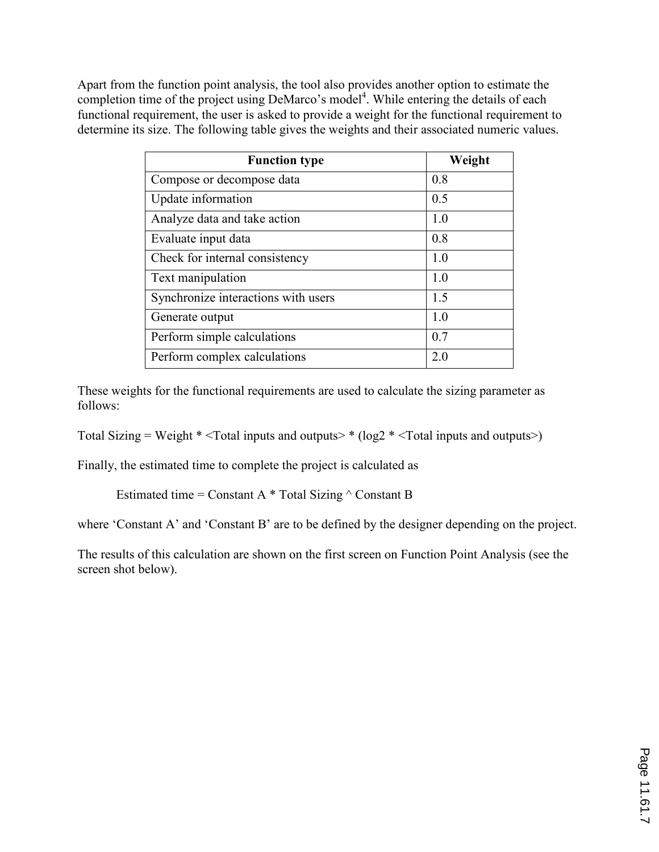Apart from the function point analysis, the tool also provides another option to estimate the completion time of the project using DeMarco's model<sup>4</sup>. While entering the details of each functional requirement, the user is asked to provide a weight for the functional requirement to determine its size. The following table gives the weights and their associated numeric values.

| <b>Function type</b>                | Weight |
|-------------------------------------|--------|
| Compose or decompose data           | 0.8    |
| Update information                  | 0.5    |
| Analyze data and take action        | 1.0    |
| Evaluate input data                 | 0.8    |
| Check for internal consistency      | 10     |
| Text manipulation                   | 1.0    |
| Synchronize interactions with users | 1.5    |
| Generate output                     | 1.0    |
| Perform simple calculations         | 0.7    |
| Perform complex calculations        | 2.0    |

These weights for the functional requirements are used to calculate the sizing parameter as follows:

Total Sizing = Weight  $*$  <Total inputs and outputs>  $*(log2 *$  <Total inputs and outputs>)

Finally, the estimated time to complete the project is calculated as

Estimated time = Constant A  $*$  Total Sizing  $\wedge$  Constant B

where 'Constant A' and 'Constant B' are to be defined by the designer depending on the project.

The results of this calculation are shown on the first screen on Function Point Analysis (see the screen shot below).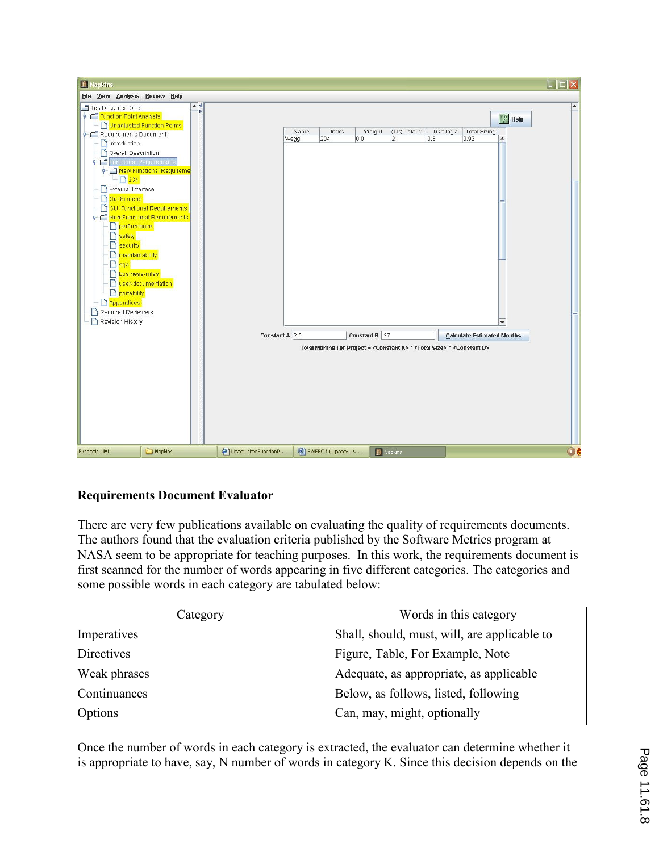

### Requirements Document Evaluator

There are very few publications available on evaluating the quality of requirements documents. The authors found that the evaluation criteria published by the Software Metrics program at NASA seem to be appropriate for teaching purposes. In this work, the requirements document is first scanned for the number of words appearing in five different categories. The categories and some possible words in each category are tabulated below:

| Category          | Words in this category                       |
|-------------------|----------------------------------------------|
| Imperatives       | Shall, should, must, will, are applicable to |
| <b>Directives</b> | Figure, Table, For Example, Note             |
| Weak phrases      | Adequate, as appropriate, as applicable      |
| Continuances      | Below, as follows, listed, following         |
| Options           | Can, may, might, optionally                  |

Once the number of words in each category is extracted, the evaluator can determine whether it is appropriate to have, say, N number of words in category K. Since this decision depends on the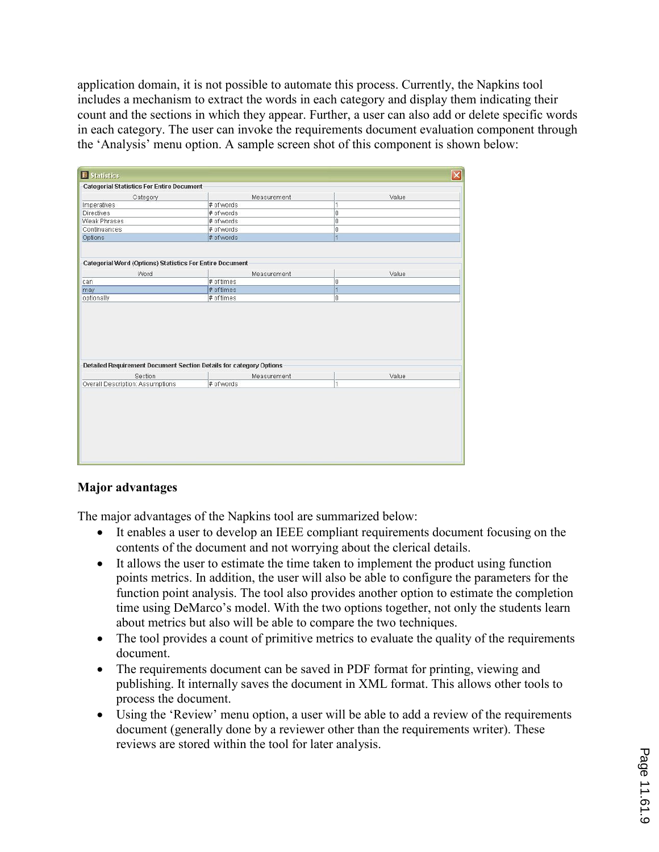application domain, it is not possible to automate this process. Currently, the Napkins tool includes a mechanism to extract the words in each category and display them indicating their count and the sections in which they appear. Further, a user can also add or delete specific words in each category. The user can invoke the requirements document evaluation component through the 'Analysis' menu option. A sample screen shot of this component is shown below:

| <b>Categorial Statistics For Entire Document</b>                                  |                                                                                                                  |                               |
|-----------------------------------------------------------------------------------|------------------------------------------------------------------------------------------------------------------|-------------------------------|
|                                                                                   |                                                                                                                  |                               |
| Measurement                                                                       | Value                                                                                                            |                               |
| # of words<br># of words                                                          | 1<br>ō                                                                                                           |                               |
|                                                                                   |                                                                                                                  |                               |
|                                                                                   |                                                                                                                  |                               |
|                                                                                   |                                                                                                                  |                               |
|                                                                                   |                                                                                                                  |                               |
| Measurement<br># of times                                                         | Value<br>o                                                                                                       |                               |
|                                                                                   |                                                                                                                  |                               |
| # of times                                                                        | $\overline{1}$                                                                                                   |                               |
|                                                                                   |                                                                                                                  |                               |
|                                                                                   |                                                                                                                  |                               |
|                                                                                   |                                                                                                                  |                               |
| Detailed Requirement Document Section Details for category Options<br>Measurement | Value                                                                                                            |                               |
|                                                                                   | # of words<br># of words<br># of words<br>Categorial Word (Options) Statistics For Entire Document<br># of times | o<br>o<br>$\overline{1}$<br>o |

### Major advantages

The major advantages of the Napkins tool are summarized below:

- It enables a user to develop an IEEE compliant requirements document focusing on the contents of the document and not worrying about the clerical details.
- It allows the user to estimate the time taken to implement the product using function points metrics. In addition, the user will also be able to configure the parameters for the function point analysis. The tool also provides another option to estimate the completion time using DeMarco's model. With the two options together, not only the students learn about metrics but also will be able to compare the two techniques.
- The tool provides a count of primitive metrics to evaluate the quality of the requirements document.
- The requirements document can be saved in PDF format for printing, viewing and publishing. It internally saves the document in XML format. This allows other tools to process the document.
- Using the 'Review' menu option, a user will be able to add a review of the requirements document (generally done by a reviewer other than the requirements writer). These reviews are stored within the tool for later analysis.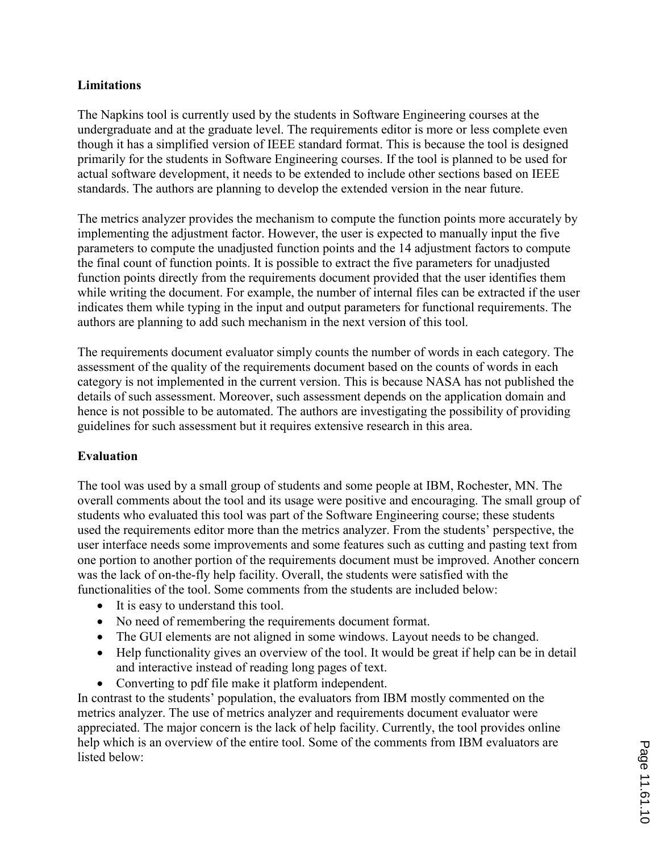#### Limitations

The Napkins tool is currently used by the students in Software Engineering courses at the undergraduate and at the graduate level. The requirements editor is more or less complete even though it has a simplified version of IEEE standard format. This is because the tool is designed primarily for the students in Software Engineering courses. If the tool is planned to be used for actual software development, it needs to be extended to include other sections based on IEEE standards. The authors are planning to develop the extended version in the near future.

The metrics analyzer provides the mechanism to compute the function points more accurately by implementing the adjustment factor. However, the user is expected to manually input the five parameters to compute the unadjusted function points and the 14 adjustment factors to compute the final count of function points. It is possible to extract the five parameters for unadjusted function points directly from the requirements document provided that the user identifies them while writing the document. For example, the number of internal files can be extracted if the user indicates them while typing in the input and output parameters for functional requirements. The authors are planning to add such mechanism in the next version of this tool.

The requirements document evaluator simply counts the number of words in each category. The assessment of the quality of the requirements document based on the counts of words in each category is not implemented in the current version. This is because NASA has not published the details of such assessment. Moreover, such assessment depends on the application domain and hence is not possible to be automated. The authors are investigating the possibility of providing guidelines for such assessment but it requires extensive research in this area.

### Evaluation

The tool was used by a small group of students and some people at IBM, Rochester, MN. The overall comments about the tool and its usage were positive and encouraging. The small group of students who evaluated this tool was part of the Software Engineering course; these students used the requirements editor more than the metrics analyzer. From the students' perspective, the user interface needs some improvements and some features such as cutting and pasting text from one portion to another portion of the requirements document must be improved. Another concern was the lack of on-the-fly help facility. Overall, the students were satisfied with the functionalities of the tool. Some comments from the students are included below:

- It is easy to understand this tool.
- No need of remembering the requirements document format.
- The GUI elements are not aligned in some windows. Layout needs to be changed.
- Help functionality gives an overview of the tool. It would be great if help can be in detail and interactive instead of reading long pages of text.
- Converting to pdf file make it platform independent.

In contrast to the students' population, the evaluators from IBM mostly commented on the metrics analyzer. The use of metrics analyzer and requirements document evaluator were appreciated. The major concern is the lack of help facility. Currently, the tool provides online help which is an overview of the entire tool. Some of the comments from IBM evaluators are listed below: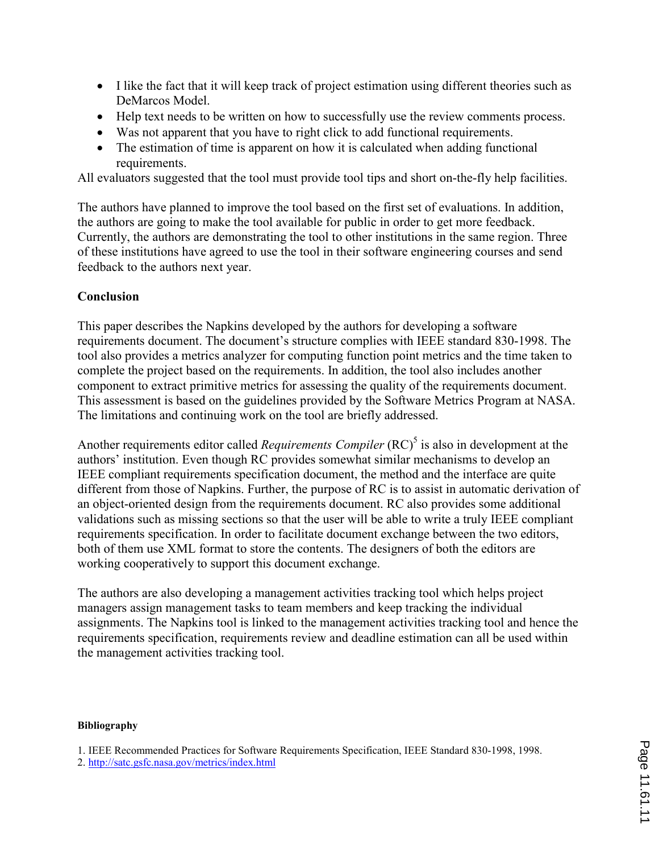- I like the fact that it will keep track of project estimation using different theories such as DeMarcos Model.
- Help text needs to be written on how to successfully use the review comments process.
- Was not apparent that you have to right click to add functional requirements.
- The estimation of time is apparent on how it is calculated when adding functional requirements.

All evaluators suggested that the tool must provide tool tips and short on-the-fly help facilities.

The authors have planned to improve the tool based on the first set of evaluations. In addition, the authors are going to make the tool available for public in order to get more feedback. Currently, the authors are demonstrating the tool to other institutions in the same region. Three of these institutions have agreed to use the tool in their software engineering courses and send feedback to the authors next year.

### Conclusion

This paper describes the Napkins developed by the authors for developing a software requirements document. The document's structure complies with IEEE standard 830-1998. The tool also provides a metrics analyzer for computing function point metrics and the time taken to complete the project based on the requirements. In addition, the tool also includes another component to extract primitive metrics for assessing the quality of the requirements document. This assessment is based on the guidelines provided by the Software Metrics Program at NASA. The limitations and continuing work on the tool are briefly addressed.

Another requirements editor called *Requirements Compiler*  $(RC)^{5}$  is also in development at the authors' institution. Even though RC provides somewhat similar mechanisms to develop an IEEE compliant requirements specification document, the method and the interface are quite different from those of Napkins. Further, the purpose of RC is to assist in automatic derivation of an object-oriented design from the requirements document. RC also provides some additional validations such as missing sections so that the user will be able to write a truly IEEE compliant requirements specification. In order to facilitate document exchange between the two editors, both of them use XML format to store the contents. The designers of both the editors are working cooperatively to support this document exchange.

The authors are also developing a management activities tracking tool which helps project managers assign management tasks to team members and keep tracking the individual assignments. The Napkins tool is linked to the management activities tracking tool and hence the requirements specification, requirements review and deadline estimation can all be used within the management activities tracking tool.

#### Bibliography

1. IEEE Recommended Practices for Software Requirements Specification, IEEE Standard 830-1998, 1998.

2. http://satc.gsfc.nasa.gov/metrics/index.html